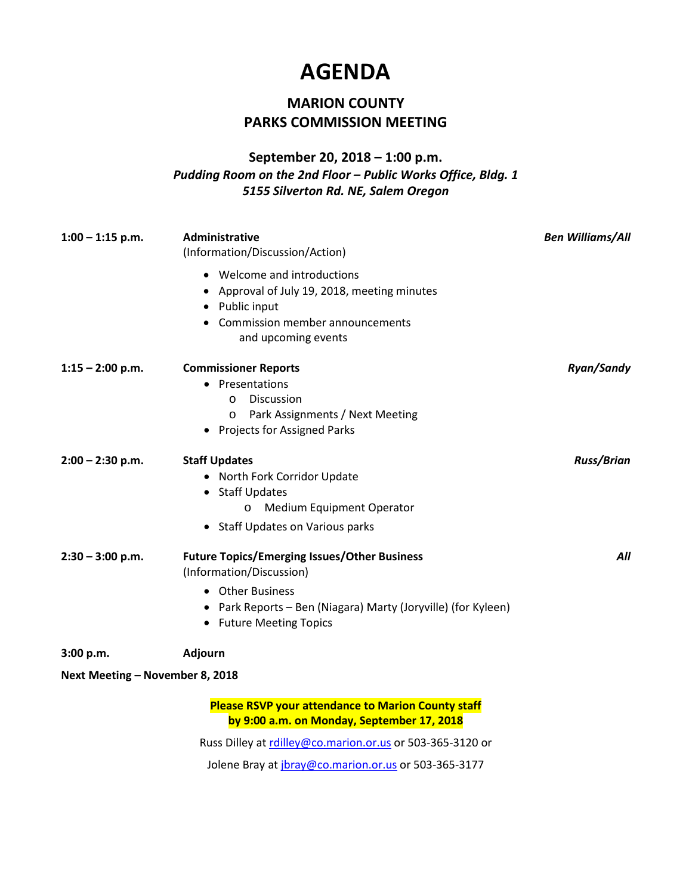## **AGENDA**

## **MARION COUNTY PARKS COMMISSION MEETING**

## **September 20, 2018 – 1:00 p.m.** *Pudding Room on the 2nd Floor – Public Works Office, Bldg. 1 5155 Silverton Rd. NE, Salem Oregon*

| $1:00 - 1:15$ p.m.              | Administrative<br>(Information/Discussion/Action)                                                                                                                                                    | <b>Ben Williams/All</b> |
|---------------------------------|------------------------------------------------------------------------------------------------------------------------------------------------------------------------------------------------------|-------------------------|
|                                 | • Welcome and introductions<br>Approval of July 19, 2018, meeting minutes<br>Public input<br>Commission member announcements<br>and upcoming events                                                  |                         |
| $1:15 - 2:00$ p.m.              | <b>Commissioner Reports</b><br>• Presentations<br><b>Discussion</b><br>$\circ$<br>Park Assignments / Next Meeting<br>$\circ$<br>• Projects for Assigned Parks                                        | Ryan/Sandy              |
| $2:00 - 2:30$ p.m.              | <b>Staff Updates</b><br>• North Fork Corridor Update<br>• Staff Updates<br>Medium Equipment Operator<br>$\circ$<br>• Staff Updates on Various parks                                                  | <b>Russ/Brian</b>       |
| $2:30 - 3:00$ p.m.              | <b>Future Topics/Emerging Issues/Other Business</b><br>(Information/Discussion)<br><b>Other Business</b><br>• Park Reports – Ben (Niagara) Marty (Joryville) (for Kyleen)<br>• Future Meeting Topics | All                     |
| 3:00 p.m.                       | Adjourn                                                                                                                                                                                              |                         |
| Next Meeting - November 8, 2018 |                                                                                                                                                                                                      |                         |
|                                 | <b>Please RSVP your attendance to Marion County staff</b><br>by 9:00 a.m. on Monday, September 17, 2018                                                                                              |                         |
|                                 | Russ Dilley at rdilley@co.marion.or.us or 503-365-3120 or                                                                                                                                            |                         |

Jolene Bray a[t jbray@co.marion.or.us](mailto:jbray@co.marion.or.us) or 503-365-3177